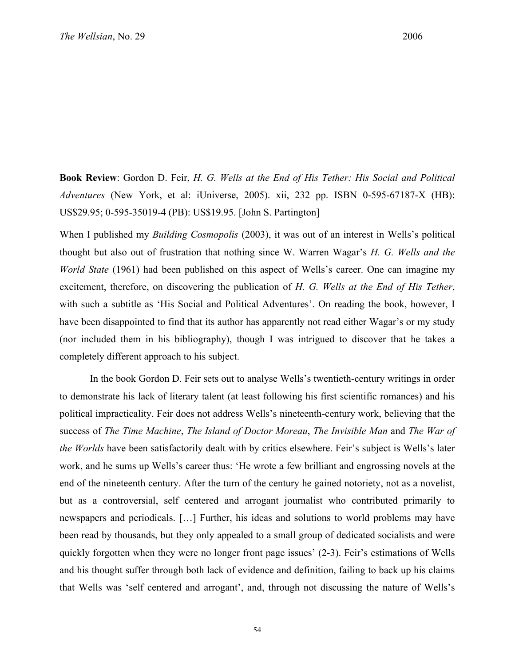**Book Review**: Gordon D. Feir, *H. G. Wells at the End of His Tether: His Social and Political Adventures* (New York, et al: iUniverse, 2005). xii, 232 pp. ISBN 0-595-67187-X (HB): US\$29.95; 0-595-35019-4 (PB): US\$19.95. [John S. Partington]

When I published my *Building Cosmopolis* (2003), it was out of an interest in Wells's political thought but also out of frustration that nothing since W. Warren Wagar's *H. G. Wells and the World State* (1961) had been published on this aspect of Wells's career. One can imagine my excitement, therefore, on discovering the publication of *H. G. Wells at the End of His Tether*, with such a subtitle as 'His Social and Political Adventures'. On reading the book, however, I have been disappointed to find that its author has apparently not read either Wagar's or my study (nor included them in his bibliography), though I was intrigued to discover that he takes a completely different approach to his subject.

In the book Gordon D. Feir sets out to analyse Wells's twentieth-century writings in order to demonstrate his lack of literary talent (at least following his first scientific romances) and his political impracticality. Feir does not address Wells's nineteenth-century work, believing that the success of *The Time Machine*, *The Island of Doctor Moreau*, *The Invisible Man* and *The War of the Worlds* have been satisfactorily dealt with by critics elsewhere. Feir's subject is Wells's later work, and he sums up Wells's career thus: 'He wrote a few brilliant and engrossing novels at the end of the nineteenth century. After the turn of the century he gained notoriety, not as a novelist, but as a controversial, self centered and arrogant journalist who contributed primarily to newspapers and periodicals. […] Further, his ideas and solutions to world problems may have been read by thousands, but they only appealed to a small group of dedicated socialists and were quickly forgotten when they were no longer front page issues' (2-3). Feir's estimations of Wells and his thought suffer through both lack of evidence and definition, failing to back up his claims that Wells was 'self centered and arrogant', and, through not discussing the nature of Wells's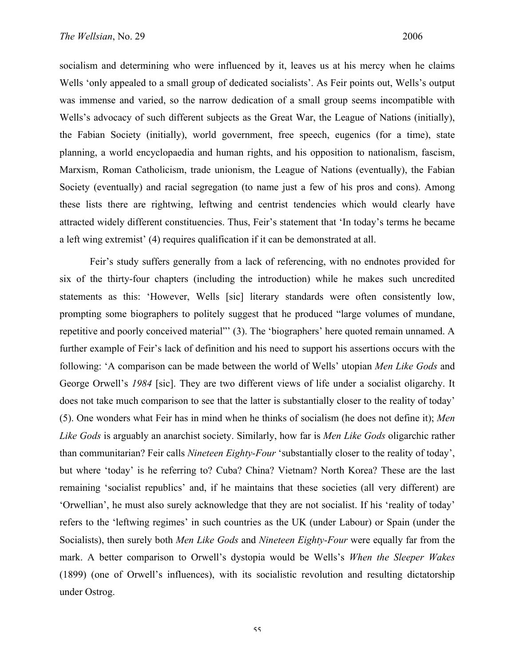socialism and determining who were influenced by it, leaves us at his mercy when he claims Wells 'only appealed to a small group of dedicated socialists'. As Feir points out, Wells's output was immense and varied, so the narrow dedication of a small group seems incompatible with Wells's advocacy of such different subjects as the Great War, the League of Nations (initially), the Fabian Society (initially), world government, free speech, eugenics (for a time), state planning, a world encyclopaedia and human rights, and his opposition to nationalism, fascism, Marxism, Roman Catholicism, trade unionism, the League of Nations (eventually), the Fabian Society (eventually) and racial segregation (to name just a few of his pros and cons). Among these lists there are rightwing, leftwing and centrist tendencies which would clearly have attracted widely different constituencies. Thus, Feir's statement that 'In today's terms he became a left wing extremist' (4) requires qualification if it can be demonstrated at all.

Feir's study suffers generally from a lack of referencing, with no endnotes provided for six of the thirty-four chapters (including the introduction) while he makes such uncredited statements as this: 'However, Wells [sic] literary standards were often consistently low, prompting some biographers to politely suggest that he produced "large volumes of mundane, repetitive and poorly conceived material"' (3). The 'biographers' here quoted remain unnamed. A further example of Feir's lack of definition and his need to support his assertions occurs with the following: 'A comparison can be made between the world of Wells' utopian *Men Like Gods* and George Orwell's *1984* [sic]. They are two different views of life under a socialist oligarchy. It does not take much comparison to see that the latter is substantially closer to the reality of today' (5). One wonders what Feir has in mind when he thinks of socialism (he does not define it); *Men Like Gods* is arguably an anarchist society. Similarly, how far is *Men Like Gods* oligarchic rather than communitarian? Feir calls *Nineteen Eighty-Four* 'substantially closer to the reality of today', but where 'today' is he referring to? Cuba? China? Vietnam? North Korea? These are the last remaining 'socialist republics' and, if he maintains that these societies (all very different) are 'Orwellian', he must also surely acknowledge that they are not socialist. If his 'reality of today' refers to the 'leftwing regimes' in such countries as the UK (under Labour) or Spain (under the Socialists), then surely both *Men Like Gods* and *Nineteen Eighty-Four* were equally far from the mark. A better comparison to Orwell's dystopia would be Wells's *When the Sleeper Wakes* (1899) (one of Orwell's influences), with its socialistic revolution and resulting dictatorship under Ostrog.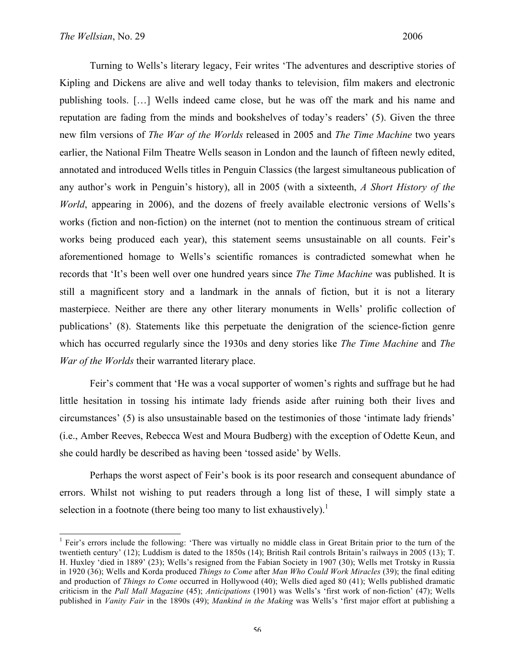Turning to Wells's literary legacy, Feir writes 'The adventures and descriptive stories of Kipling and Dickens are alive and well today thanks to television, film makers and electronic publishing tools. […] Wells indeed came close, but he was off the mark and his name and reputation are fading from the minds and bookshelves of today's readers' (5). Given the three new film versions of *The War of the Worlds* released in 2005 and *The Time Machine* two years earlier, the National Film Theatre Wells season in London and the launch of fifteen newly edited, annotated and introduced Wells titles in Penguin Classics (the largest simultaneous publication of any author's work in Penguin's history), all in 2005 (with a sixteenth, *A Short History of the World*, appearing in 2006), and the dozens of freely available electronic versions of Wells's works (fiction and non-fiction) on the internet (not to mention the continuous stream of critical works being produced each year), this statement seems unsustainable on all counts. Feir's aforementioned homage to Wells's scientific romances is contradicted somewhat when he records that 'It's been well over one hundred years since *The Time Machine* was published. It is still a magnificent story and a landmark in the annals of fiction, but it is not a literary masterpiece. Neither are there any other literary monuments in Wells' prolific collection of publications' (8). Statements like this perpetuate the denigration of the science-fiction genre which has occurred regularly since the 1930s and deny stories like *The Time Machine* and *The War of the Worlds* their warranted literary place.

Feir's comment that 'He was a vocal supporter of women's rights and suffrage but he had little hesitation in tossing his intimate lady friends aside after ruining both their lives and circumstances' (5) is also unsustainable based on the testimonies of those 'intimate lady friends' (i.e., Amber Reeves, Rebecca West and Moura Budberg) with the exception of Odette Keun, and she could hardly be described as having been 'tossed aside' by Wells.

Perhaps the worst aspect of Feir's book is its poor research and consequent abundance of errors. Whilst not wishing to put readers through a long list of these, I will simply state a selection in a footnote (there being too many to list exhaustively).<sup>1</sup>

<sup>&</sup>lt;sup>1</sup> Feir's errors include the following: 'There was virtually no middle class in Great Britain prior to the turn of the twentieth century' (12); Luddism is dated to the 1850s (14); British Rail controls Britain's railways in 2005 (13); T. H. Huxley 'died in 1889' (23); Wells's resigned from the Fabian Society in 1907 (30); Wells met Trotsky in Russia in 1920 (36); Wells and Korda produced *Things to Come* after *Man Who Could Work Miracles* (39); the final editing and production of *Things to Come* occurred in Hollywood (40); Wells died aged 80 (41); Wells published dramatic criticism in the *Pall Mall Magazine* (45); *Anticipations* (1901) was Wells's 'first work of non-fiction' (47); Wells published in *Vanity Fair* in the 1890s (49); *Mankind in the Making* was Wells's 'first major effort at publishing a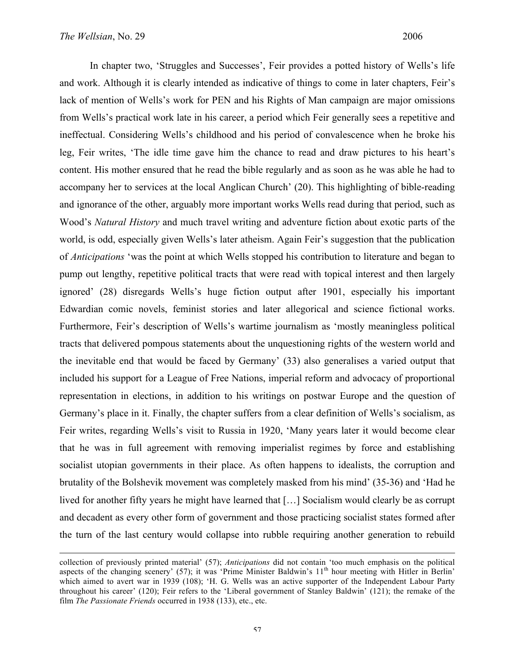1

In chapter two, 'Struggles and Successes', Feir provides a potted history of Wells's life and work. Although it is clearly intended as indicative of things to come in later chapters, Feir's lack of mention of Wells's work for PEN and his Rights of Man campaign are major omissions from Wells's practical work late in his career, a period which Feir generally sees a repetitive and ineffectual. Considering Wells's childhood and his period of convalescence when he broke his leg, Feir writes, 'The idle time gave him the chance to read and draw pictures to his heart's content. His mother ensured that he read the bible regularly and as soon as he was able he had to accompany her to services at the local Anglican Church' (20). This highlighting of bible-reading and ignorance of the other, arguably more important works Wells read during that period, such as Wood's *Natural History* and much travel writing and adventure fiction about exotic parts of the world, is odd, especially given Wells's later atheism. Again Feir's suggestion that the publication of *Anticipations* 'was the point at which Wells stopped his contribution to literature and began to pump out lengthy, repetitive political tracts that were read with topical interest and then largely ignored' (28) disregards Wells's huge fiction output after 1901, especially his important Edwardian comic novels, feminist stories and later allegorical and science fictional works. Furthermore, Feir's description of Wells's wartime journalism as 'mostly meaningless political tracts that delivered pompous statements about the unquestioning rights of the western world and the inevitable end that would be faced by Germany' (33) also generalises a varied output that included his support for a League of Free Nations, imperial reform and advocacy of proportional representation in elections, in addition to his writings on postwar Europe and the question of Germany's place in it. Finally, the chapter suffers from a clear definition of Wells's socialism, as Feir writes, regarding Wells's visit to Russia in 1920, 'Many years later it would become clear that he was in full agreement with removing imperialist regimes by force and establishing socialist utopian governments in their place. As often happens to idealists, the corruption and brutality of the Bolshevik movement was completely masked from his mind' (35-36) and 'Had he lived for another fifty years he might have learned that […] Socialism would clearly be as corrupt and decadent as every other form of government and those practicing socialist states formed after the turn of the last century would collapse into rubble requiring another generation to rebuild

collection of previously printed material' (57); *Anticipations* did not contain 'too much emphasis on the political aspects of the changing scenery' (57); it was 'Prime Minister Baldwin's 11<sup>th</sup> hour meeting with Hitler in Berlin' which aimed to avert war in 1939 (108); 'H. G. Wells was an active supporter of the Independent Labour Party throughout his career' (120); Feir refers to the 'Liberal government of Stanley Baldwin' (121); the remake of the film *The Passionate Friends* occurred in 1938 (133), etc., etc.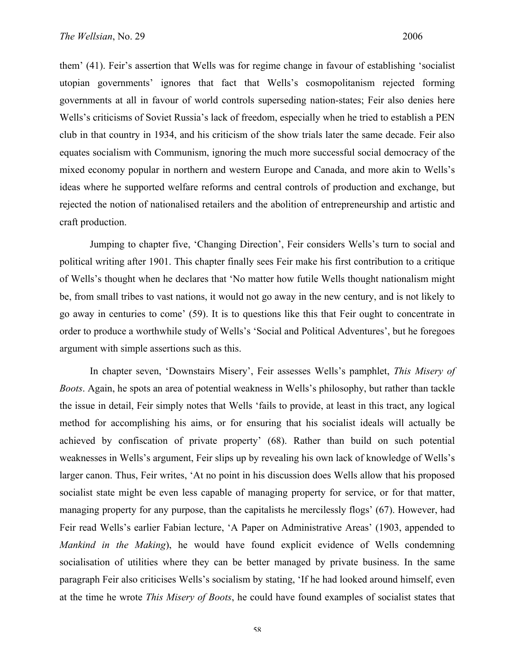them' (41). Feir's assertion that Wells was for regime change in favour of establishing 'socialist utopian governments' ignores that fact that Wells's cosmopolitanism rejected forming governments at all in favour of world controls superseding nation-states; Feir also denies here Wells's criticisms of Soviet Russia's lack of freedom, especially when he tried to establish a PEN club in that country in 1934, and his criticism of the show trials later the same decade. Feir also equates socialism with Communism, ignoring the much more successful social democracy of the mixed economy popular in northern and western Europe and Canada, and more akin to Wells's ideas where he supported welfare reforms and central controls of production and exchange, but rejected the notion of nationalised retailers and the abolition of entrepreneurship and artistic and craft production.

Jumping to chapter five, 'Changing Direction', Feir considers Wells's turn to social and political writing after 1901. This chapter finally sees Feir make his first contribution to a critique of Wells's thought when he declares that 'No matter how futile Wells thought nationalism might be, from small tribes to vast nations, it would not go away in the new century, and is not likely to go away in centuries to come' (59). It is to questions like this that Feir ought to concentrate in order to produce a worthwhile study of Wells's 'Social and Political Adventures', but he foregoes argument with simple assertions such as this.

In chapter seven, 'Downstairs Misery', Feir assesses Wells's pamphlet, *This Misery of Boots*. Again, he spots an area of potential weakness in Wells's philosophy, but rather than tackle the issue in detail, Feir simply notes that Wells 'fails to provide, at least in this tract, any logical method for accomplishing his aims, or for ensuring that his socialist ideals will actually be achieved by confiscation of private property' (68). Rather than build on such potential weaknesses in Wells's argument, Feir slips up by revealing his own lack of knowledge of Wells's larger canon. Thus, Feir writes, 'At no point in his discussion does Wells allow that his proposed socialist state might be even less capable of managing property for service, or for that matter, managing property for any purpose, than the capitalists he mercilessly flogs' (67). However, had Feir read Wells's earlier Fabian lecture, 'A Paper on Administrative Areas' (1903, appended to *Mankind in the Making*), he would have found explicit evidence of Wells condemning socialisation of utilities where they can be better managed by private business. In the same paragraph Feir also criticises Wells's socialism by stating, 'If he had looked around himself, even at the time he wrote *This Misery of Boots*, he could have found examples of socialist states that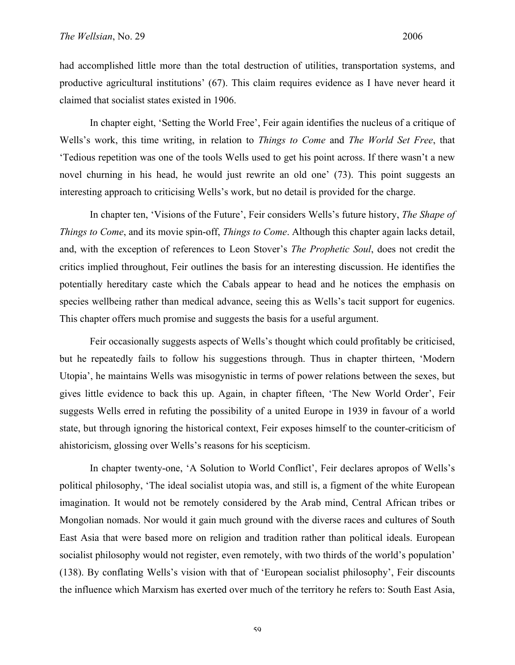had accomplished little more than the total destruction of utilities, transportation systems, and productive agricultural institutions' (67). This claim requires evidence as I have never heard it claimed that socialist states existed in 1906.

In chapter eight, 'Setting the World Free', Feir again identifies the nucleus of a critique of Wells's work, this time writing, in relation to *Things to Come* and *The World Set Free*, that 'Tedious repetition was one of the tools Wells used to get his point across. If there wasn't a new novel churning in his head, he would just rewrite an old one' (73). This point suggests an interesting approach to criticising Wells's work, but no detail is provided for the charge.

In chapter ten, 'Visions of the Future', Feir considers Wells's future history, *The Shape of Things to Come*, and its movie spin-off, *Things to Come*. Although this chapter again lacks detail, and, with the exception of references to Leon Stover's *The Prophetic Soul*, does not credit the critics implied throughout, Feir outlines the basis for an interesting discussion. He identifies the potentially hereditary caste which the Cabals appear to head and he notices the emphasis on species wellbeing rather than medical advance, seeing this as Wells's tacit support for eugenics. This chapter offers much promise and suggests the basis for a useful argument.

Feir occasionally suggests aspects of Wells's thought which could profitably be criticised, but he repeatedly fails to follow his suggestions through. Thus in chapter thirteen, 'Modern Utopia', he maintains Wells was misogynistic in terms of power relations between the sexes, but gives little evidence to back this up. Again, in chapter fifteen, 'The New World Order', Feir suggests Wells erred in refuting the possibility of a united Europe in 1939 in favour of a world state, but through ignoring the historical context, Feir exposes himself to the counter-criticism of ahistoricism, glossing over Wells's reasons for his scepticism.

In chapter twenty-one, 'A Solution to World Conflict', Feir declares apropos of Wells's political philosophy, 'The ideal socialist utopia was, and still is, a figment of the white European imagination. It would not be remotely considered by the Arab mind, Central African tribes or Mongolian nomads. Nor would it gain much ground with the diverse races and cultures of South East Asia that were based more on religion and tradition rather than political ideals. European socialist philosophy would not register, even remotely, with two thirds of the world's population' (138). By conflating Wells's vision with that of 'European socialist philosophy', Feir discounts the influence which Marxism has exerted over much of the territory he refers to: South East Asia,

59